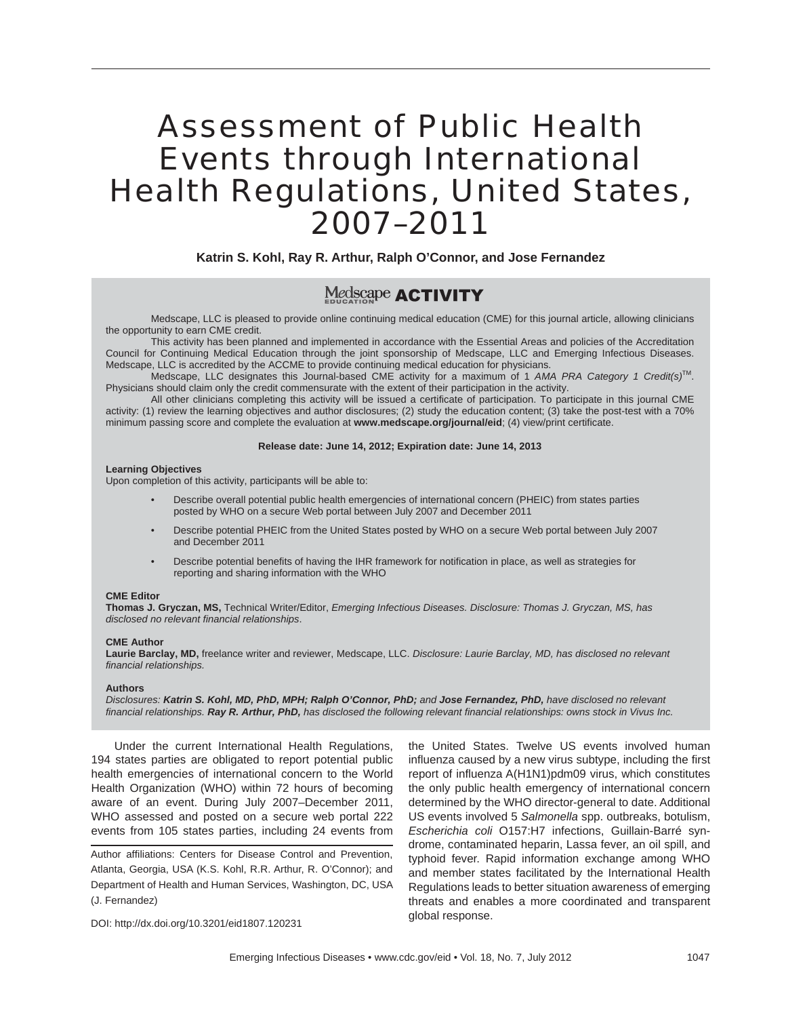# Assessment of Public Health Events through International Health Regulations, United States, 2007–2011

**Katrin S. Kohl, Ray R. Arthur, Ralph O'Connor, and Jose Fernandez**

## Medscape **ACTIVITY**

Medscape, LLC is pleased to provide online continuing medical education (CME) for this journal article, allowing clinicians the opportunity to earn CME credit.

This activity has been planned and implemented in accordance with the Essential Areas and policies of the Accreditation Council for Continuing Medical Education through the joint sponsorship of Medscape, LLC and Emerging Infectious Diseases. Medscape, LLC is accredited by the ACCME to provide continuing medical education for physicians.

Medscape, LLC designates this Journal-based CME activity for a maximum of 1 *AMA PRA Category 1 Credit(s)*TM. Physicians should claim only the credit commensurate with the extent of their participation in the activity.

All other clinicians completing this activity will be issued a certificate of participation. To participate in this journal CME activity: (1) review the learning objectives and author disclosures; (2) study the education content; (3) take the post-test with a 70% minimum passing score and complete the evaluation at **www.medscape.org/journal/eid**; (4) view/print certificate.

#### **Release date: June 14, 2012; Expiration date: June 14, 2013**

#### **Learning Objectives**

Upon completion of this activity, participants will be able to:

- Describe overall potential public health emergencies of international concern (PHEIC) from states parties posted by WHO on a secure Web portal between July 2007 and December 2011
- Describe potential PHEIC from the United States posted by WHO on a secure Web portal between July 2007 and December 2011
- Describe potential benefits of having the IHR framework for notification in place, as well as strategies for reporting and sharing information with the WHO

## **CME Editor**

**Thomas J. Gryczan, MS,** Technical Writer/Editor, *Emerging Infectious Diseases. Disclosure: Thomas J. Gryczan, MS, has disclosed no relevant financial relationships*.

## **CME Author**

**Laurie Barclay, MD,** freelance writer and reviewer, Medscape, LLC. *Disclosure: Laurie Barclay, MD, has disclosed no relevant financial relationships.* 

#### **Authors**

*Disclosures: Katrin S. Kohl, MD, PhD, MPH; Ralph O'Connor, PhD; and Jose Fernandez, PhD, have disclosed no relevant financial relationships. Ray R. Arthur, PhD, has disclosed the following relevant financial relationships: owns stock in Vivus Inc.* 

Under the current International Health Regulations, 194 states parties are obligated to report potential public health emergencies of international concern to the World Health Organization (WHO) within 72 hours of becoming aware of an event. During July 2007–December 2011, WHO assessed and posted on a secure web portal 222 events from 105 states parties, including 24 events from

Author affiliations: Centers for Disease Control and Prevention, Atlanta, Georgia, USA (K.S. Kohl, R.R. Arthur, R. O'Connor); and Department of Health and Human Services, Washington, DC, USA (J. Fernandez)

the United States. Twelve US events involved human influenza caused by a new virus subtype, including the first report of influenza A(H1N1)pdm09 virus, which constitutes the only public health emergency of international concern determined by the WHO director-general to date. Additional US events involved 5 *Salmonella* spp. outbreaks, botulism, *Escherichia coli* O157:H7 infections, Guillain-Barré syndrome, contaminated heparin, Lassa fever, an oil spill, and typhoid fever. Rapid information exchange among WHO and member states facilitated by the International Health Regulations leads to better situation awareness of emerging threats and enables a more coordinated and transparent global response.

DOI: http://dx.doi.org/10.3201/eid1807.120231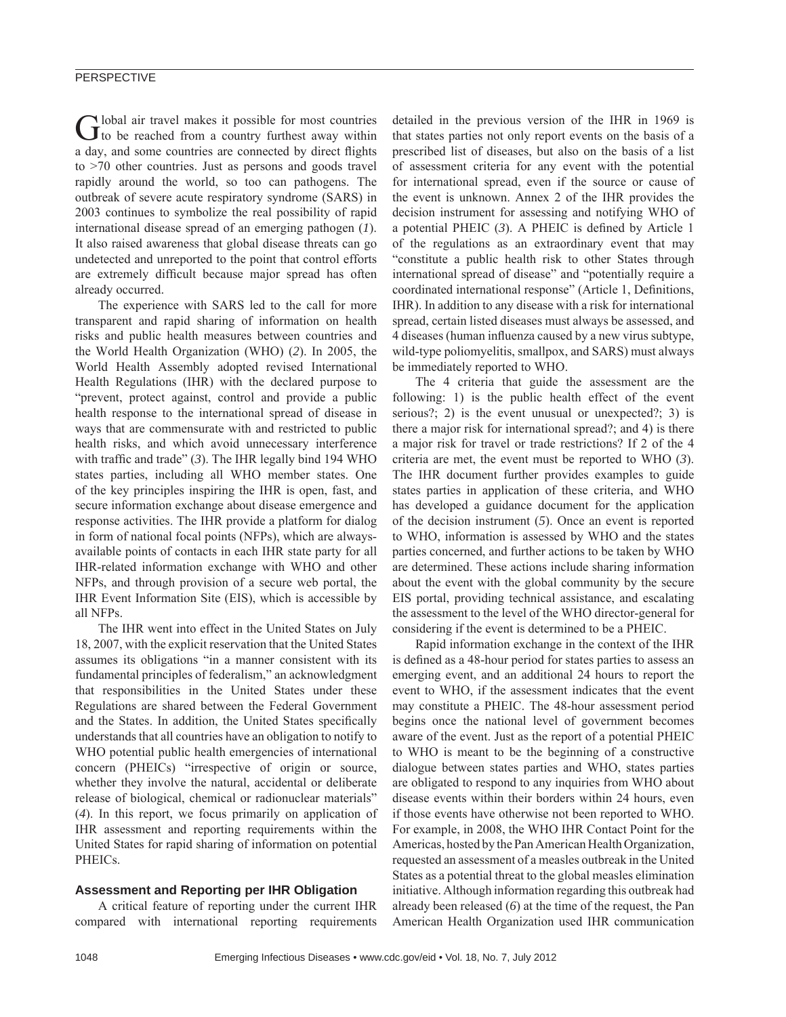Global air travel makes it possible for most countries<br>to be reached from a country furthest away within a day, and some countries are connected by direct flights to >70 other countries. Just as persons and goods travel rapidly around the world, so too can pathogens. The outbreak of severe acute respiratory syndrome (SARS) in 2003 continues to symbolize the real possibility of rapid international disease spread of an emerging pathogen (*1*). It also raised awareness that global disease threats can go undetected and unreported to the point that control efforts are extremely difficult because major spread has often already occurred.

The experience with SARS led to the call for more transparent and rapid sharing of information on health risks and public health measures between countries and the World Health Organization (WHO) (*2*). In 2005, the World Health Assembly adopted revised International Health Regulations (IHR) with the declared purpose to "prevent, protect against, control and provide a public health response to the international spread of disease in ways that are commensurate with and restricted to public health risks, and which avoid unnecessary interference with traffic and trade" (3). The IHR legally bind 194 WHO states parties, including all WHO member states. One of the key principles inspiring the IHR is open, fast, and secure information exchange about disease emergence and response activities. The IHR provide a platform for dialog in form of national focal points (NFPs), which are alwaysavailable points of contacts in each IHR state party for all IHR-related information exchange with WHO and other NFPs, and through provision of a secure web portal, the IHR Event Information Site (EIS), which is accessible by all NFPs.

The IHR went into effect in the United States on July 18, 2007, with the explicit reservation that the United States assumes its obligations "in a manner consistent with its fundamental principles of federalism," an acknowledgment that responsibilities in the United States under these Regulations are shared between the Federal Government and the States. In addition, the United States specifically understands that all countries have an obligation to notify to WHO potential public health emergencies of international concern (PHEICs) "irrespective of origin or source, whether they involve the natural, accidental or deliberate release of biological, chemical or radionuclear materials" (*4*). In this report, we focus primarily on application of IHR assessment and reporting requirements within the United States for rapid sharing of information on potential PHEICs.

## **Assessment and Reporting per IHR Obligation**

A critical feature of reporting under the current IHR compared with international reporting requirements detailed in the previous version of the IHR in 1969 is that states parties not only report events on the basis of a prescribed list of diseases, but also on the basis of a list of assessment criteria for any event with the potential for international spread, even if the source or cause of the event is unknown. Annex 2 of the IHR provides the decision instrument for assessing and notifying WHO of a potential PHEIC  $(3)$ . A PHEIC is defined by Article 1 of the regulations as an extraordinary event that may "constitute a public health risk to other States through international spread of disease" and "potentially require a coordinated international response" (Article 1, Definitions, IHR). In addition to any disease with a risk for international spread, certain listed diseases must always be assessed, and 4 diseases (human influenza caused by a new virus subtype, wild-type poliomyelitis, smallpox, and SARS) must always be immediately reported to WHO.

The 4 criteria that guide the assessment are the following: 1) is the public health effect of the event serious?; 2) is the event unusual or unexpected?; 3) is there a major risk for international spread?; and 4) is there a major risk for travel or trade restrictions? If 2 of the 4 criteria are met, the event must be reported to WHO (*3*). The IHR document further provides examples to guide states parties in application of these criteria, and WHO has developed a guidance document for the application of the decision instrument (*5*). Once an event is reported to WHO, information is assessed by WHO and the states parties concerned, and further actions to be taken by WHO are determined. These actions include sharing information about the event with the global community by the secure EIS portal, providing technical assistance, and escalating the assessment to the level of the WHO director-general for considering if the event is determined to be a PHEIC.

Rapid information exchange in the context of the IHR is defined as a 48-hour period for states parties to assess an emerging event, and an additional 24 hours to report the event to WHO, if the assessment indicates that the event may constitute a PHEIC. The 48-hour assessment period begins once the national level of government becomes aware of the event. Just as the report of a potential PHEIC to WHO is meant to be the beginning of a constructive dialogue between states parties and WHO, states parties are obligated to respond to any inquiries from WHO about disease events within their borders within 24 hours, even if those events have otherwise not been reported to WHO. For example, in 2008, the WHO IHR Contact Point for the Americas, hosted by the Pan American Health Organization, requested an assessment of a measles outbreak in the United States as a potential threat to the global measles elimination initiative. Although information regarding this outbreak had already been released (*6*) at the time of the request, the Pan American Health Organization used IHR communication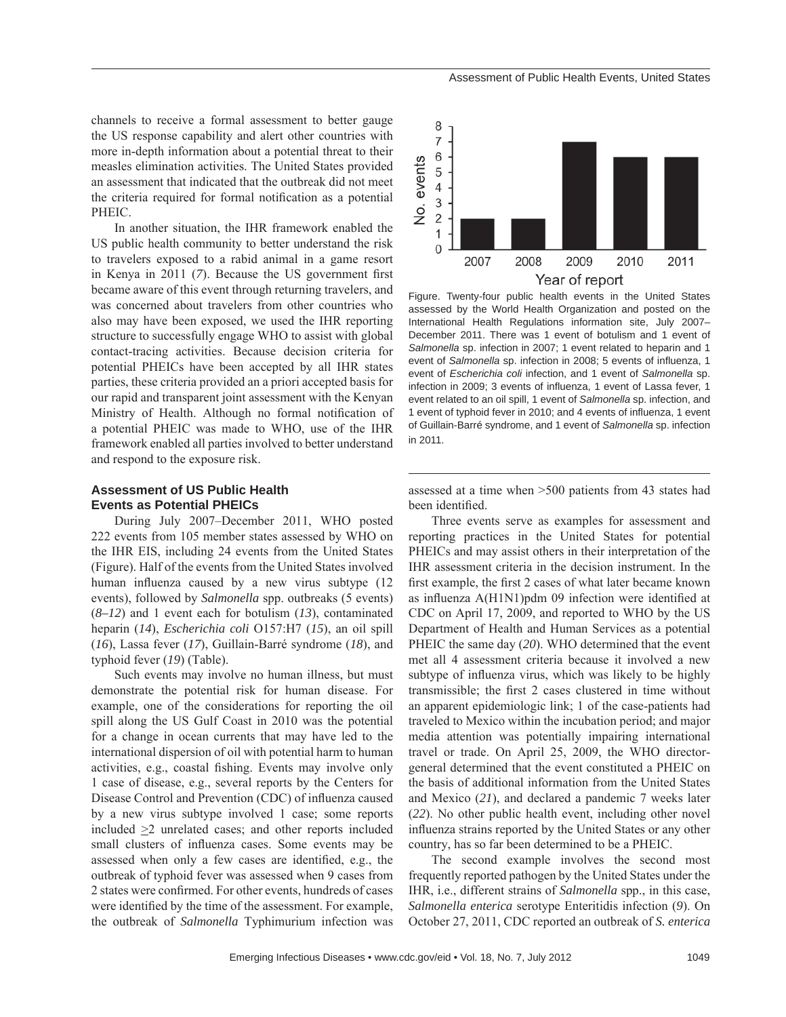channels to receive a formal assessment to better gauge the US response capability and alert other countries with more in-depth information about a potential threat to their measles elimination activities. The United States provided an assessment that indicated that the outbreak did not meet the criteria required for formal notification as a potential PHEIC.

In another situation, the IHR framework enabled the US public health community to better understand the risk to travelers exposed to a rabid animal in a game resort in Kenya in 2011 (7). Because the US government first became aware of this event through returning travelers, and was concerned about travelers from other countries who also may have been exposed, we used the IHR reporting structure to successfully engage WHO to assist with global contact-tracing activities. Because decision criteria for potential PHEICs have been accepted by all IHR states parties, these criteria provided an a priori accepted basis for our rapid and transparent joint assessment with the Kenyan Ministry of Health. Although no formal notification of a potential PHEIC was made to WHO, use of the IHR framework enabled all parties involved to better understand and respond to the exposure risk.

## **Assessment of US Public Health Events as Potential PHEICs**

During July 2007–December 2011, WHO posted 222 events from 105 member states assessed by WHO on the IHR EIS, including 24 events from the United States (Figure). Half of the events from the United States involved human influenza caused by a new virus subtype (12) events), followed by *Salmonella* spp. outbreaks (5 events) (*8–12*) and 1 event each for botulism (*13*), contaminated heparin (*14*), *Escherichia coli* O157:H7 (*15*), an oil spill (*16*), Lassa fever (*17*), Guillain-Barré syndrome (*18*), and typhoid fever (*19*) (Table).

Such events may involve no human illness, but must demonstrate the potential risk for human disease. For example, one of the considerations for reporting the oil spill along the US Gulf Coast in 2010 was the potential for a change in ocean currents that may have led to the international dispersion of oil with potential harm to human activities, e.g., coastal fishing. Events may involve only 1 case of disease, e.g., several reports by the Centers for Disease Control and Prevention (CDC) of influenza caused by a new virus subtype involved 1 case; some reports included >2 unrelated cases; and other reports included small clusters of influenza cases. Some events may be assessed when only a few cases are identified, e.g., the outbreak of typhoid fever was assessed when 9 cases from 2 states were confirmed. For other events, hundreds of cases were identified by the time of the assessment. For example, the outbreak of *Salmonella* Typhimurium infection was



Figure. Twenty-four public health events in the United States assessed by the World Health Organization and posted on the International Health Regulations information site, July 2007– December 2011. There was 1 event of botulism and 1 event of *Salmonella* sp. infection in 2007; 1 event related to heparin and 1 event of *Salmonella* sp. infection in 2008; 5 events of influenza, 1 event of *Escherichia coli* infection, and 1 event of *Salmonella* sp. infection in 2009; 3 events of influenza, 1 event of Lassa fever, 1 event related to an oil spill, 1 event of *Salmonella* sp. infection, and 1 event of typhoid fever in 2010; and 4 events of influenza, 1 event of Guillain-Barré syndrome, and 1 event of *Salmonella* sp. infection in 2011.

assessed at a time when >500 patients from 43 states had been identified.

Three events serve as examples for assessment and reporting practices in the United States for potential PHEICs and may assist others in their interpretation of the IHR assessment criteria in the decision instrument. In the first example, the first 2 cases of what later became known as influenza A(H1N1)pdm 09 infection were identified at CDC on April 17, 2009, and reported to WHO by the US Department of Health and Human Services as a potential PHEIC the same day (*20*). WHO determined that the event met all 4 assessment criteria because it involved a new subtype of influenza virus, which was likely to be highly transmissible; the first 2 cases clustered in time without an apparent epidemiologic link; 1 of the case-patients had traveled to Mexico within the incubation period; and major media attention was potentially impairing international travel or trade. On April 25, 2009, the WHO directorgeneral determined that the event constituted a PHEIC on the basis of additional information from the United States and Mexico (*21*), and declared a pandemic 7 weeks later (*22*). No other public health event, including other novel influenza strains reported by the United States or any other country, has so far been determined to be a PHEIC.

The second example involves the second most frequently reported pathogen by the United States under the IHR, i.e., different strains of *Salmonella* spp., in this case, *Salmonella enterica* serotype Enteritidis infection (*9*). On October 27, 2011, CDC reported an outbreak of *S. enterica*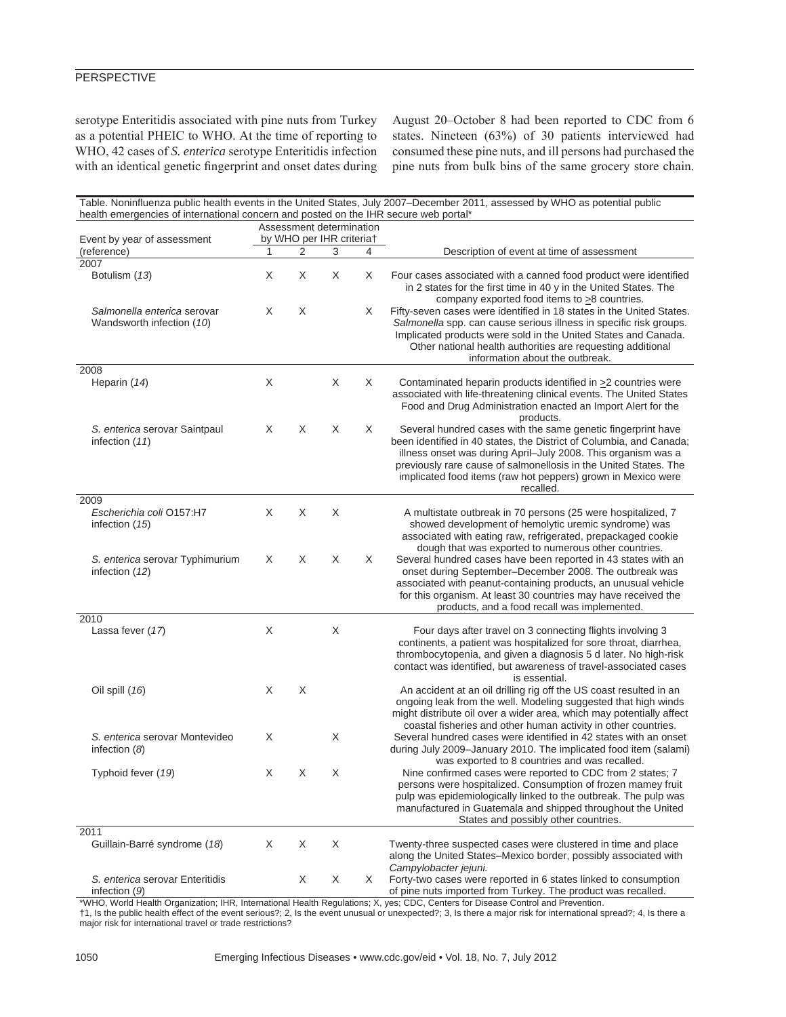## **PERSPECTIVE**

serotype Enteritidis associated with pine nuts from Turkey as a potential PHEIC to WHO. At the time of reporting to WHO, 42 cases of *S. enterica* serotype Enteritidis infection with an identical genetic fingerprint and onset dates during August 20–October 8 had been reported to CDC from 6 states. Nineteen (63%) of 30 patients interviewed had consumed these pine nuts, and ill persons had purchased the pine nuts from bulk bins of the same grocery store chain.

| Table. Noninfluenza public health events in the United States, July 2007–December 2011, assessed by WHO as potential public<br>health emergencies of international concern and posted on the IHR secure web portal* |    |   |                          |   |                                                                                                                                                                                                                                                                                                                                                       |
|---------------------------------------------------------------------------------------------------------------------------------------------------------------------------------------------------------------------|----|---|--------------------------|---|-------------------------------------------------------------------------------------------------------------------------------------------------------------------------------------------------------------------------------------------------------------------------------------------------------------------------------------------------------|
|                                                                                                                                                                                                                     |    |   | Assessment determination |   |                                                                                                                                                                                                                                                                                                                                                       |
| Event by year of assessment                                                                                                                                                                                         |    |   | by WHO per IHR criteriat |   |                                                                                                                                                                                                                                                                                                                                                       |
| (reference)                                                                                                                                                                                                         |    | 2 | 3                        | 4 | Description of event at time of assessment                                                                                                                                                                                                                                                                                                            |
| 2007                                                                                                                                                                                                                |    |   |                          |   |                                                                                                                                                                                                                                                                                                                                                       |
| Botulism (13)                                                                                                                                                                                                       | X  | X | X                        | Χ | Four cases associated with a canned food product were identified<br>in 2 states for the first time in 40 y in the United States. The<br>company exported food items to $\geq$ 8 countries.                                                                                                                                                            |
| Salmonella enterica serovar<br>Wandsworth infection (10)                                                                                                                                                            | X  | Χ |                          | Χ | Fifty-seven cases were identified in 18 states in the United States.<br>Salmonella spp. can cause serious illness in specific risk groups.<br>Implicated products were sold in the United States and Canada.<br>Other national health authorities are requesting additional<br>information about the outbreak.                                        |
| 2008                                                                                                                                                                                                                |    |   |                          |   |                                                                                                                                                                                                                                                                                                                                                       |
| Heparin (14)                                                                                                                                                                                                        | X  |   | Χ                        | X | Contaminated heparin products identified in >2 countries were<br>associated with life-threatening clinical events. The United States<br>Food and Drug Administration enacted an Import Alert for the<br>products.                                                                                                                                     |
| S. enterica serovar Saintpaul<br>infection (11)                                                                                                                                                                     | X  | X | Χ                        | X | Several hundred cases with the same genetic fingerprint have<br>been identified in 40 states, the District of Columbia, and Canada;<br>illness onset was during April-July 2008. This organism was a<br>previously rare cause of salmonellosis in the United States. The<br>implicated food items (raw hot peppers) grown in Mexico were<br>recalled. |
| 2009                                                                                                                                                                                                                |    |   |                          |   |                                                                                                                                                                                                                                                                                                                                                       |
| Escherichia coli O157:H7<br>infection (15)                                                                                                                                                                          | X  | X | X                        |   | A multistate outbreak in 70 persons (25 were hospitalized, 7<br>showed development of hemolytic uremic syndrome) was<br>associated with eating raw, refrigerated, prepackaged cookie<br>dough that was exported to numerous other countries.                                                                                                          |
| S. enterica serovar Typhimurium<br>infection (12)                                                                                                                                                                   | Χ  | X | Χ                        | X | Several hundred cases have been reported in 43 states with an<br>onset during September-December 2008. The outbreak was<br>associated with peanut-containing products, an unusual vehicle<br>for this organism. At least 30 countries may have received the<br>products, and a food recall was implemented.                                           |
| 2010                                                                                                                                                                                                                |    |   |                          |   |                                                                                                                                                                                                                                                                                                                                                       |
| Lassa fever (17)                                                                                                                                                                                                    | X  |   | X                        |   | Four days after travel on 3 connecting flights involving 3<br>continents, a patient was hospitalized for sore throat, diarrhea,<br>thrombocytopenia, and given a diagnosis 5 d later. No high-risk<br>contact was identified, but awareness of travel-associated cases<br>is essential.                                                               |
| Oil spill (16)                                                                                                                                                                                                      | X  | Χ |                          |   | An accident at an oil drilling rig off the US coast resulted in an<br>ongoing leak from the well. Modeling suggested that high winds<br>might distribute oil over a wider area, which may potentially affect<br>coastal fisheries and other human activity in other countries.                                                                        |
| S. enterica serovar Montevideo<br>infection $(8)$                                                                                                                                                                   | X  |   | X                        |   | Several hundred cases were identified in 42 states with an onset<br>during July 2009-January 2010. The implicated food item (salami)<br>was exported to 8 countries and was recalled.                                                                                                                                                                 |
| Typhoid fever (19)                                                                                                                                                                                                  | X. | X | Χ                        |   | Nine confirmed cases were reported to CDC from 2 states; 7<br>persons were hospitalized. Consumption of frozen mamey fruit<br>pulp was epidemiologically linked to the outbreak. The pulp was<br>manufactured in Guatemala and shipped throughout the United<br>States and possibly other countries.                                                  |
| 2011<br>Guillain-Barré syndrome (18)                                                                                                                                                                                | X  | X | X                        |   | Twenty-three suspected cases were clustered in time and place<br>along the United States-Mexico border, possibly associated with<br>Campylobacter jejuni.                                                                                                                                                                                             |
| S. enterica serovar Enteritidis<br>infection $(9)$                                                                                                                                                                  |    | X | X                        | X | Forty-two cases were reported in 6 states linked to consumption<br>of pine nuts imported from Turkey. The product was recalled.                                                                                                                                                                                                                       |

\*WHO, World Health Organization; IHR, International Health Regulations; X, yes; CDC, Centers for Disease Control and Prevention.

†1, Is the public health effect of the event serious?; 2, Is the event unusual or unexpected?; 3, Is there a major risk for international spread?; 4, Is there a major risk for international travel or trade restrictions?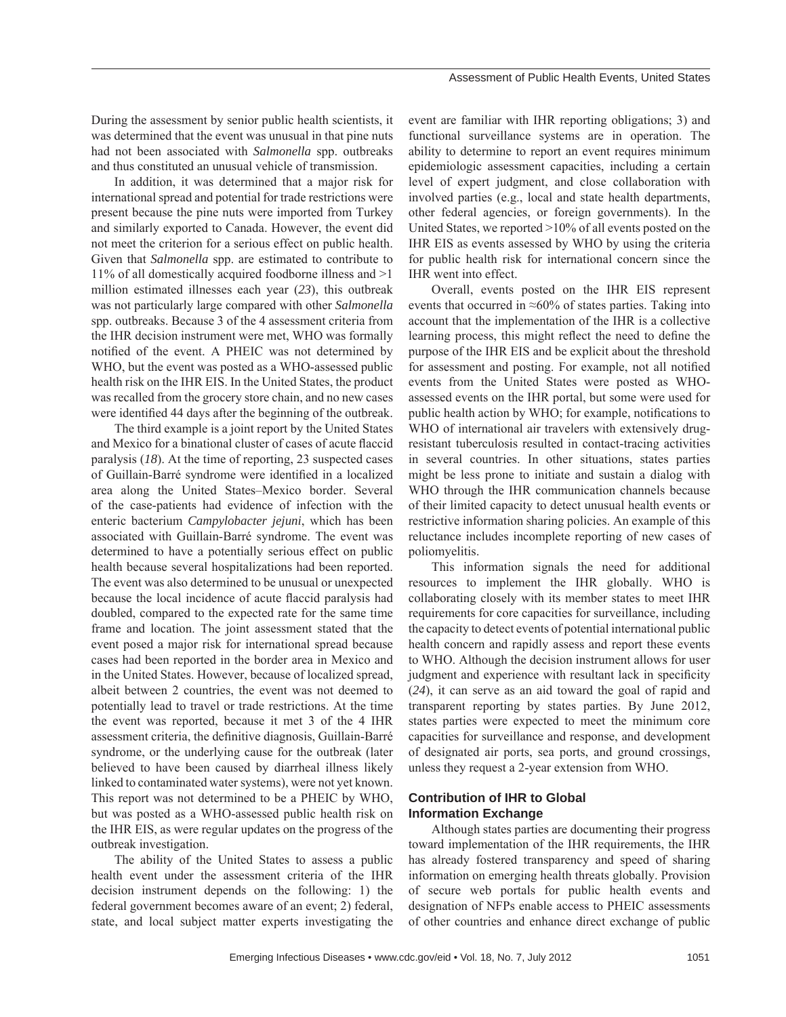During the assessment by senior public health scientists, it was determined that the event was unusual in that pine nuts had not been associated with *Salmonella* spp. outbreaks and thus constituted an unusual vehicle of transmission.

In addition, it was determined that a major risk for international spread and potential for trade restrictions were present because the pine nuts were imported from Turkey and similarly exported to Canada. However, the event did not meet the criterion for a serious effect on public health. Given that *Salmonella* spp. are estimated to contribute to 11% of all domestically acquired foodborne illness and >1 million estimated illnesses each year (*23*), this outbreak was not particularly large compared with other *Salmonella* spp. outbreaks. Because 3 of the 4 assessment criteria from the IHR decision instrument were met, WHO was formally notified of the event. A PHEIC was not determined by WHO, but the event was posted as a WHO-assessed public health risk on the IHR EIS. In the United States, the product was recalled from the grocery store chain, and no new cases were identified 44 days after the beginning of the outbreak.

The third example is a joint report by the United States and Mexico for a binational cluster of cases of acute flaccid paralysis (*18*). At the time of reporting, 23 suspected cases of Guillain-Barré syndrome were identified in a localized area along the United States–Mexico border. Several of the case-patients had evidence of infection with the enteric bacterium *Campylobacter jejuni*, which has been associated with Guillain-Barré syndrome. The event was determined to have a potentially serious effect on public health because several hospitalizations had been reported. The event was also determined to be unusual or unexpected because the local incidence of acute flaccid paralysis had doubled, compared to the expected rate for the same time frame and location. The joint assessment stated that the event posed a major risk for international spread because cases had been reported in the border area in Mexico and in the United States. However, because of localized spread, albeit between 2 countries, the event was not deemed to potentially lead to travel or trade restrictions. At the time the event was reported, because it met 3 of the 4 IHR assessment criteria, the definitive diagnosis, Guillain-Barré syndrome, or the underlying cause for the outbreak (later believed to have been caused by diarrheal illness likely linked to contaminated water systems), were not yet known. This report was not determined to be a PHEIC by WHO, but was posted as a WHO-assessed public health risk on the IHR EIS, as were regular updates on the progress of the outbreak investigation.

The ability of the United States to assess a public health event under the assessment criteria of the IHR decision instrument depends on the following: 1) the federal government becomes aware of an event; 2) federal, state, and local subject matter experts investigating the event are familiar with IHR reporting obligations; 3) and functional surveillance systems are in operation. The ability to determine to report an event requires minimum epidemiologic assessment capacities, including a certain level of expert judgment, and close collaboration with involved parties (e.g., local and state health departments, other federal agencies, or foreign governments). In the United States, we reported >10% of all events posted on the IHR EIS as events assessed by WHO by using the criteria for public health risk for international concern since the IHR went into effect.

Overall, events posted on the IHR EIS represent events that occurred in  $\approx 60\%$  of states parties. Taking into account that the implementation of the IHR is a collective learning process, this might reflect the need to define the purpose of the IHR EIS and be explicit about the threshold for assessment and posting. For example, not all notified events from the United States were posted as WHOassessed events on the IHR portal, but some were used for public health action by WHO; for example, notifications to WHO of international air travelers with extensively drugresistant tuberculosis resulted in contact-tracing activities in several countries. In other situations, states parties might be less prone to initiate and sustain a dialog with WHO through the IHR communication channels because of their limited capacity to detect unusual health events or restrictive information sharing policies. An example of this reluctance includes incomplete reporting of new cases of poliomyelitis.

This information signals the need for additional resources to implement the IHR globally. WHO is collaborating closely with its member states to meet IHR requirements for core capacities for surveillance, including the capacity to detect events of potential international public health concern and rapidly assess and report these events to WHO. Although the decision instrument allows for user judgment and experience with resultant lack in specificity (*24*), it can serve as an aid toward the goal of rapid and transparent reporting by states parties. By June 2012, states parties were expected to meet the minimum core capacities for surveillance and response, and development of designated air ports, sea ports, and ground crossings, unless they request a 2-year extension from WHO.

## **Contribution of IHR to Global Information Exchange**

Although states parties are documenting their progress toward implementation of the IHR requirements, the IHR has already fostered transparency and speed of sharing information on emerging health threats globally. Provision of secure web portals for public health events and designation of NFPs enable access to PHEIC assessments of other countries and enhance direct exchange of public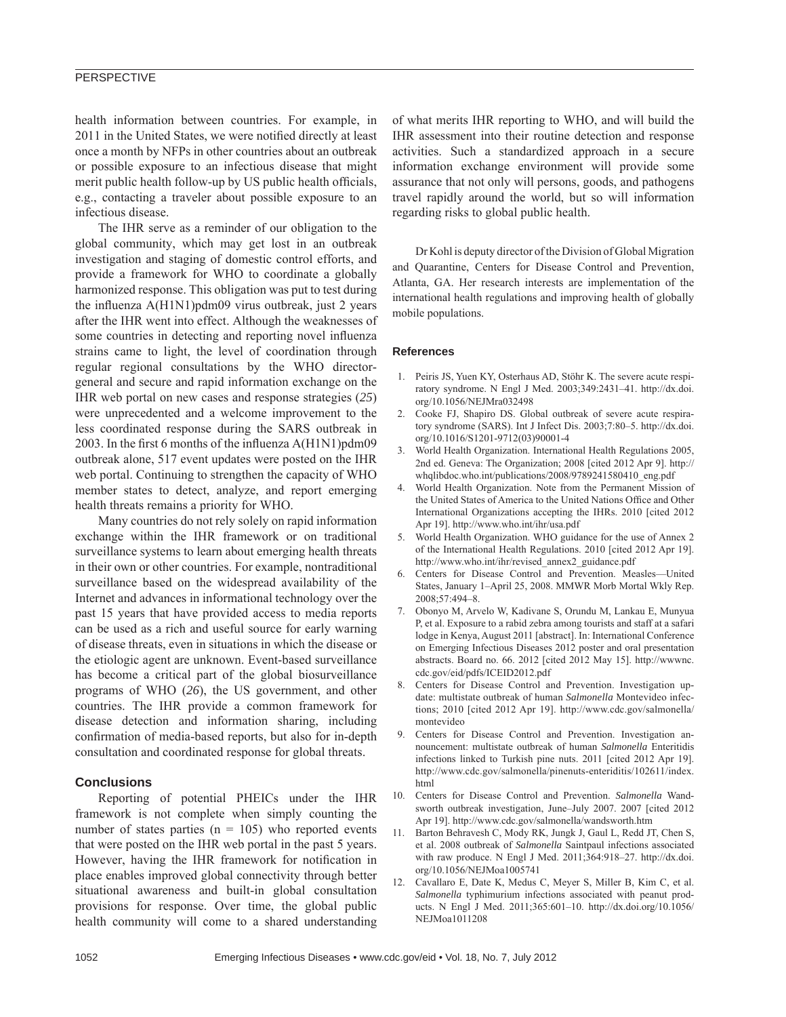## PERSPECTIVE

health information between countries. For example, in 2011 in the United States, we were notified directly at least once a month by NFPs in other countries about an outbreak or possible exposure to an infectious disease that might merit public health follow-up by US public health officials, e.g., contacting a traveler about possible exposure to an infectious disease.

The IHR serve as a reminder of our obligation to the global community, which may get lost in an outbreak investigation and staging of domestic control efforts, and provide a framework for WHO to coordinate a globally harmonized response. This obligation was put to test during the influenza  $A(H1N1)$ pdm09 virus outbreak, just 2 years after the IHR went into effect. Although the weaknesses of some countries in detecting and reporting novel influenza strains came to light, the level of coordination through regular regional consultations by the WHO directorgeneral and secure and rapid information exchange on the IHR web portal on new cases and response strategies (*25*) were unprecedented and a welcome improvement to the less coordinated response during the SARS outbreak in 2003. In the first 6 months of the influenza  $A(H1N1)$ pdm09 outbreak alone, 517 event updates were posted on the IHR web portal. Continuing to strengthen the capacity of WHO member states to detect, analyze, and report emerging health threats remains a priority for WHO.

Many countries do not rely solely on rapid information exchange within the IHR framework or on traditional surveillance systems to learn about emerging health threats in their own or other countries. For example, nontraditional surveillance based on the widespread availability of the Internet and advances in informational technology over the past 15 years that have provided access to media reports can be used as a rich and useful source for early warning of disease threats, even in situations in which the disease or the etiologic agent are unknown. Event-based surveillance has become a critical part of the global biosurveillance programs of WHO (*26*), the US government, and other countries. The IHR provide a common framework for disease detection and information sharing, including confirmation of media-based reports, but also for in-depth consultation and coordinated response for global threats.

## **Conclusions**

Reporting of potential PHEICs under the IHR framework is not complete when simply counting the number of states parties ( $n = 105$ ) who reported events that were posted on the IHR web portal in the past 5 years. However, having the IHR framework for notification in place enables improved global connectivity through better situational awareness and built-in global consultation provisions for response. Over time, the global public health community will come to a shared understanding of what merits IHR reporting to WHO, and will build the IHR assessment into their routine detection and response activities. Such a standardized approach in a secure information exchange environment will provide some assurance that not only will persons, goods, and pathogens travel rapidly around the world, but so will information regarding risks to global public health.

Dr Kohl is deputy director of the Division of Global Migration and Quarantine, Centers for Disease Control and Prevention, Atlanta, GA. Her research interests are implementation of the international health regulations and improving health of globally mobile populations.

#### **References**

- 1. Peiris JS, Yuen KY, Osterhaus AD, Stöhr K. The severe acute respiratory syndrome. N Engl J Med. 2003;349:2431–41. http://dx.doi. org/10.1056/NEJMra032498
- 2. Cooke FJ, Shapiro DS. Global outbreak of severe acute respiratory syndrome (SARS). Int J Infect Dis. 2003;7:80–5. http://dx.doi. org/10.1016/S1201-9712(03)90001-4
- 3. World Health Organization. International Health Regulations 2005, 2nd ed. Geneva: The Organization; 2008 [cited 2012 Apr 9]. http:// whqlibdoc.who.int/publications/2008/9789241580410\_eng.pdf
- 4. World Health Organization. Note from the Permanent Mission of the United States of America to the United Nations Office and Other International Organizations accepting the IHRs. 2010 [cited 2012 Apr 19]. http://www.who.int/ihr/usa.pdf
- 5. World Health Organization. WHO guidance for the use of Annex 2 of the International Health Regulations. 2010 [cited 2012 Apr 19]. http://www.who.int/ihr/revised\_annex2\_guidance.pdf
- 6. Centers for Disease Control and Prevention. Measles—United States, January 1–April 25, 2008. MMWR Morb Mortal Wkly Rep. 2008;57:494–8.
- 7. Obonyo M, Arvelo W, Kadivane S, Orundu M, Lankau E, Munyua P, et al. Exposure to a rabid zebra among tourists and staff at a safari lodge in Kenya, August 2011 [abstract]. In: International Conference on Emerging Infectious Diseases 2012 poster and oral presentation abstracts. Board no. 66. 2012 [cited 2012 May 15]. http://wwwnc. cdc.gov/eid/pdfs/ICEID2012.pdf
- 8. Centers for Disease Control and Prevention. Investigation update: multistate outbreak of human *Salmonella* Montevideo infections; 2010 [cited 2012 Apr 19]. http://www.cdc.gov/salmonella/ montevideo
- 9. Centers for Disease Control and Prevention. Investigation announcement: multistate outbreak of human *Salmonella* Enteritidis infections linked to Turkish pine nuts. 2011 [cited 2012 Apr 19]. http://www.cdc.gov/salmonella/pinenuts-enteriditis/102611/index. html
- 10. Centers for Disease Control and Prevention. *Salmonella* Wandsworth outbreak investigation, June–July 2007. 2007 [cited 2012 Apr 19]. http://www.cdc.gov/salmonella/wandsworth.htm
- 11. Barton Behravesh C, Mody RK, Jungk J, Gaul L, Redd JT, Chen S, et al. 2008 outbreak of *Salmonella* Saintpaul infections associated with raw produce. N Engl J Med. 2011;364:918–27. http://dx.doi. org/10.1056/NEJMoa1005741
- 12. Cavallaro E, Date K, Medus C, Meyer S, Miller B, Kim C, et al. *Salmonella* typhimurium infections associated with peanut products. N Engl J Med. 2011;365:601–10. http://dx.doi.org/10.1056/ NEJMoa1011208